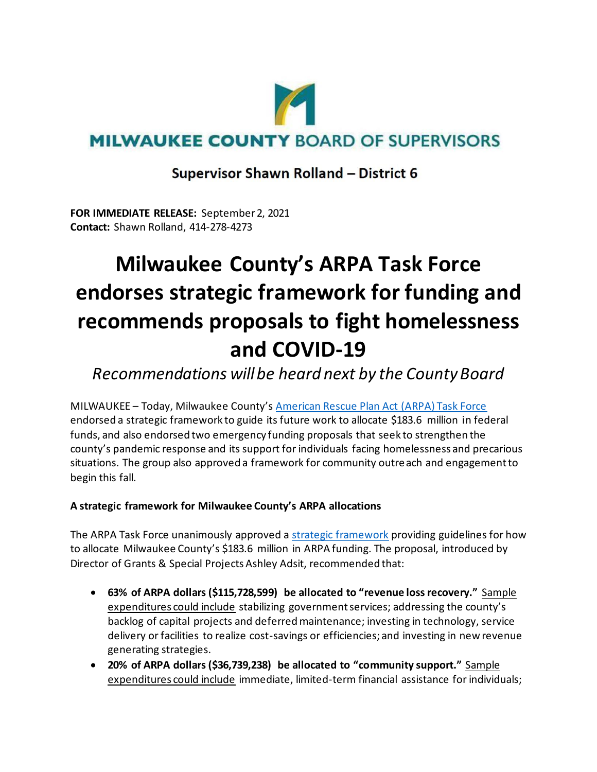

### **Supervisor Shawn Rolland - District 6**

**FOR IMMEDIATE RELEASE:** September 2, 2021 **Contact:** Shawn Rolland, 414-278-4273

# **Milwaukee County's ARPA Task Force endorses strategic framework for funding and recommends proposals to fight homelessness and COVID-19**

## *Recommendations will be heard next by the County Board*

MILWAUKEE – Today, Milwaukee County's [American Rescue Plan Act \(ARPA\) Task Force](https://county.milwaukee.gov/EN/Administrative-Services/Performance-Strategy-and-Budget/American-Rescue-Plan-Act) endorsed a strategic framework to guide its future work to allocate \$183.6 million in federal funds, and also endorsed two emergency funding proposals that seek to strengthen the county's pandemic response and its support for individuals facing homelessness and precarious situations. The group also approved a framework for community outreach and engagement to begin this fall.

#### **A strategic framework for Milwaukee County's ARPA allocations**

The ARPA Task Force unanimously approved a [strategic framework](https://milwaukeecounty.legistar.com/LegislationDetail.aspx?ID=5119829&GUID=C300F59D-016F-4E6E-AFE5-069639877611&Options=&Search=) providing guidelines for how to allocate Milwaukee County's \$183.6 million in ARPA funding. The proposal, introduced by Director of Grants & Special Projects Ashley Adsit, recommended that:

- **63% of ARPA dollars (\$115,728,599) be allocated to "revenue loss recovery."** Sample expenditures could include stabilizing government services; addressing the county's backlog of capital projects and deferred maintenance; investing in technology, service delivery or facilities to realize cost-savings or efficiencies; and investing in new revenue generating strategies.
- **20% of ARPA dollars (\$36,739,238) be allocated to "community support."** Sample expenditures could include immediate, limited-term financial assistance for individuals;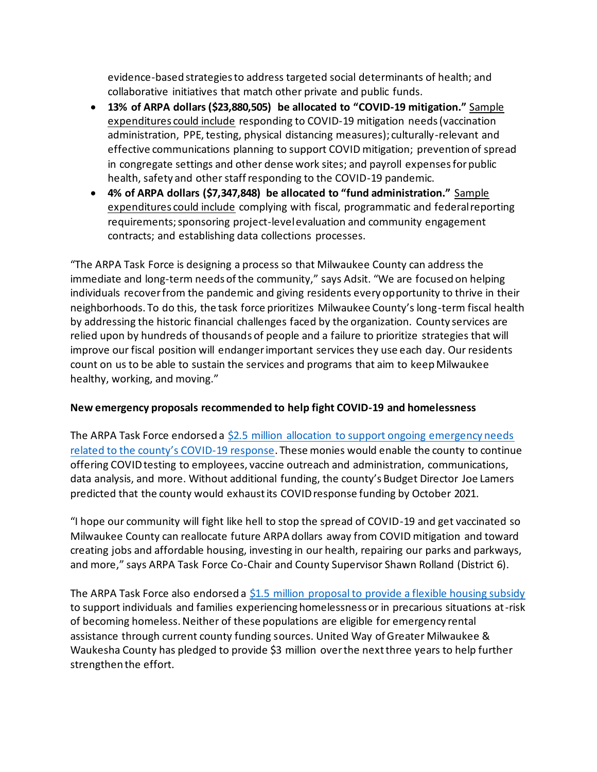evidence-based strategies to address targeted social determinants of health; and collaborative initiatives that match other private and public funds.

- **13% of ARPA dollars (\$23,880,505) be allocated to "COVID-19 mitigation."** Sample expenditures could include responding to COVID-19 mitigation needs (vaccination administration, PPE, testing, physical distancing measures); culturally-relevant and effective communications planning to support COVID mitigation; prevention of spread in congregate settings and other dense work sites; and payroll expenses for public health, safety and other staff responding to the COVID-19 pandemic.
- **4% of ARPA dollars (\$7,347,848) be allocated to "fund administration."** Sample expenditures could include complying with fiscal, programmatic and federal reporting requirements; sponsoring project-level evaluation and community engagement contracts; and establishing data collections processes.

"The ARPA Task Force is designing a process so that Milwaukee County can address the immediate and long-term needs of the community," says Adsit. "We are focused on helping individuals recover from the pandemic and giving residents every opportunity to thrive in their neighborhoods. To do this, the task force prioritizes Milwaukee County's long-term fiscal health by addressing the historic financial challenges faced by the organization. County services are relied upon by hundreds of thousands of people and a failure to prioritize strategies that will improve our fiscal position will endanger important services they use each day. Our residents count on us to be able to sustain the services and programs that aim to keep Milwaukee healthy, working, and moving."

#### **New emergency proposals recommended to help fight COVID-19 and homelessness**

The ARPA Task Force endorsed a \$2.5 million allocation to support ongoing emergency needs [related to the county's COVID](https://milwaukeecounty.legistar.com/LegislationDetail.aspx?ID=5120004&GUID=99C75AC5-461A-4637-9378-727ABCDD921E&Options=&Search=)-19 response. These monies would enable the county to continue offering COVID testing to employees, vaccine outreach and administration, communications, data analysis, and more. Without additional funding, the county's Budget Director Joe Lamers predicted that the county would exhaust its COVID response funding by October 2021.

"I hope our community will fight like hell to stop the spread of COVID-19 and get vaccinated so Milwaukee County can reallocate future ARPA dollars away from COVID mitigation and toward creating jobs and affordable housing, investing in our health, repairing our parks and parkways, and more," says ARPA Task Force Co-Chair and County Supervisor Shawn Rolland (District 6).

The ARPA Task Force also endorsed a [\\$1.5 million proposal to provide a flexible housing subsidy](https://milwaukeecounty.legistar.com/LegislationDetail.aspx?ID=5081206&GUID=86FA4F46-2722-42A5-B6A3-F1838410A4E9&Options=&Search=) to support individuals and families experiencing homelessness or in precarious situations at-risk of becoming homeless. Neither of these populations are eligible for emergency rental assistance through current county funding sources. United Way of Greater Milwaukee & Waukesha County has pledged to provide \$3 million over the next three years to help further strengthen the effort.